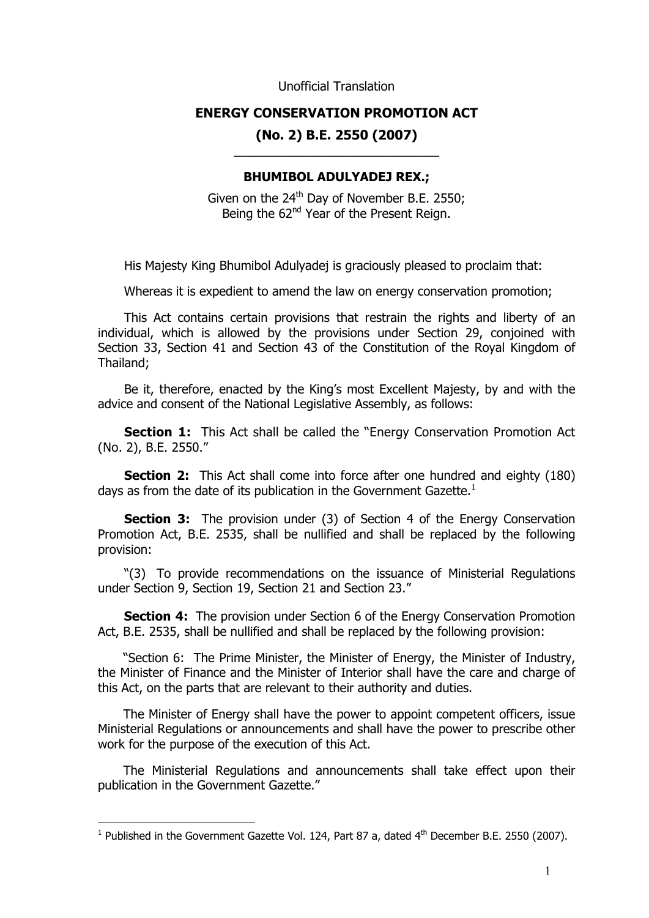Unofficial Translation

## **ENERGY CONSERVATION PROMOTION ACT (No. 2) B.E. 2550 (2007)**

## \_\_\_\_\_\_\_\_\_\_\_\_\_\_\_\_\_\_\_\_\_\_\_\_\_\_\_\_\_\_ **BHUMIBOL ADULYADEJ REX.;**

Given on the  $24<sup>th</sup>$  Day of November B.E. 2550; Being the 62<sup>nd</sup> Year of the Present Reign.

His Majesty King Bhumibol Adulyadej is graciously pleased to proclaim that:

Whereas it is expedient to amend the law on energy conservation promotion;

This Act contains certain provisions that restrain the rights and liberty of an individual, which is allowed by the provisions under Section 29, conjoined with Section 33, Section 41 and Section 43 of the Constitution of the Royal Kingdom of Thailand;

Be it, therefore, enacted by the King's most Excellent Majesty, by and with the advice and consent of the National Legislative Assembly, as follows:

**Section 1:** This Act shall be called the "Energy Conservation Promotion Act (No. 2), B.E. 2550."

**Section 2:** This Act shall come into force after one hundred and eighty (180) days as from the date of its publication in the Government Gazette. $<sup>1</sup>$  $<sup>1</sup>$  $<sup>1</sup>$ </sup>

**Section 3:** The provision under (3) of Section 4 of the Energy Conservation Promotion Act, B.E. 2535, shall be nullified and shall be replaced by the following provision:

"(3) To provide recommendations on the issuance of Ministerial Regulations under Section 9, Section 19, Section 21 and Section 23."

**Section 4:** The provision under Section 6 of the Energy Conservation Promotion Act, B.E. 2535, shall be nullified and shall be replaced by the following provision:

"Section 6: The Prime Minister, the Minister of Energy, the Minister of Industry, the Minister of Finance and the Minister of Interior shall have the care and charge of this Act, on the parts that are relevant to their authority and duties.

The Minister of Energy shall have the power to appoint competent officers, issue Ministerial Regulations or announcements and shall have the power to prescribe other work for the purpose of the execution of this Act.

The Ministerial Regulations and announcements shall take effect upon their publication in the Government Gazette."

 $\overline{a}$ 

<span id="page-0-0"></span><sup>&</sup>lt;sup>1</sup> Published in the Government Gazette Vol. 124, Part 87 a, dated  $4<sup>th</sup>$  December B.E. 2550 (2007).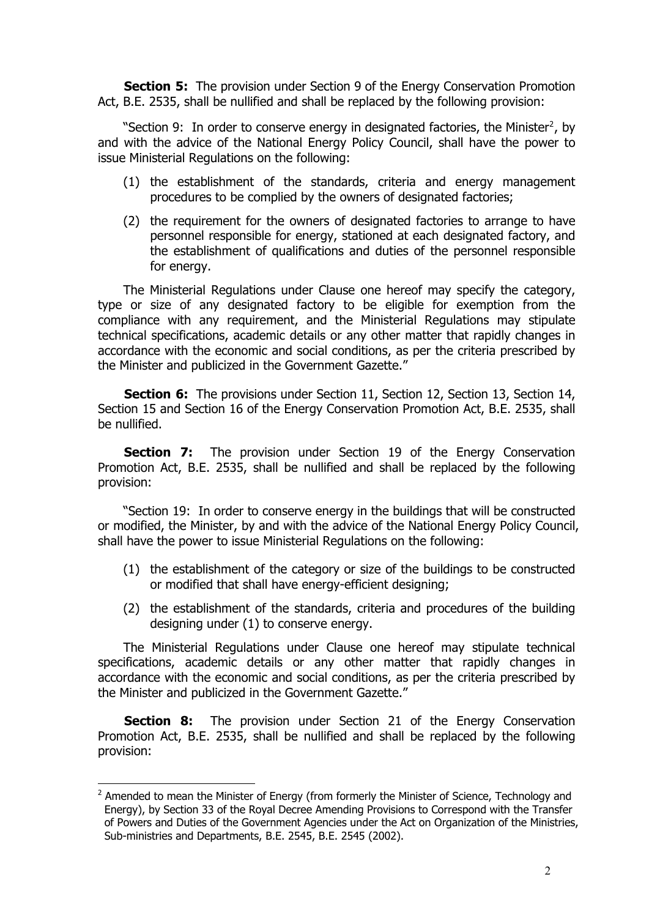**Section 5:** The provision under Section 9 of the Energy Conservation Promotion Act, B.E. 2535, shall be nullified and shall be replaced by the following provision:

"Section 9: In order to conserve energy in designated factories, the Minister<sup>[2](#page-1-0)</sup>, by and with the advice of the National Energy Policy Council, shall have the power to issue Ministerial Regulations on the following:

- (1) the establishment of the standards, criteria and energy management procedures to be complied by the owners of designated factories;
- (2) the requirement for the owners of designated factories to arrange to have personnel responsible for energy, stationed at each designated factory, and the establishment of qualifications and duties of the personnel responsible for energy.

The Ministerial Regulations under Clause one hereof may specify the category, type or size of any designated factory to be eligible for exemption from the compliance with any requirement, and the Ministerial Regulations may stipulate technical specifications, academic details or any other matter that rapidly changes in accordance with the economic and social conditions, as per the criteria prescribed by the Minister and publicized in the Government Gazette."

**Section 6:** The provisions under Section 11, Section 12, Section 13, Section 14, Section 15 and Section 16 of the Energy Conservation Promotion Act, B.E. 2535, shall be nullified.

**Section 7:** The provision under Section 19 of the Energy Conservation Promotion Act, B.E. 2535, shall be nullified and shall be replaced by the following provision:

"Section 19: In order to conserve energy in the buildings that will be constructed or modified, the Minister, by and with the advice of the National Energy Policy Council, shall have the power to issue Ministerial Regulations on the following:

- (1) the establishment of the category or size of the buildings to be constructed or modified that shall have energy-efficient designing;
- (2) the establishment of the standards, criteria and procedures of the building designing under (1) to conserve energy.

The Ministerial Regulations under Clause one hereof may stipulate technical specifications, academic details or any other matter that rapidly changes in accordance with the economic and social conditions, as per the criteria prescribed by the Minister and publicized in the Government Gazette."

**Section 8:** The provision under Section 21 of the Energy Conservation Promotion Act, B.E. 2535, shall be nullified and shall be replaced by the following provision:

 $\overline{a}$ 

<span id="page-1-0"></span> $2$  Amended to mean the Minister of Energy (from formerly the Minister of Science, Technology and Energy), by Section 33 of the Royal Decree Amending Provisions to Correspond with the Transfer of Powers and Duties of the Government Agencies under the Act on Organization of the Ministries, Sub-ministries and Departments, B.E. 2545, B.E. 2545 (2002).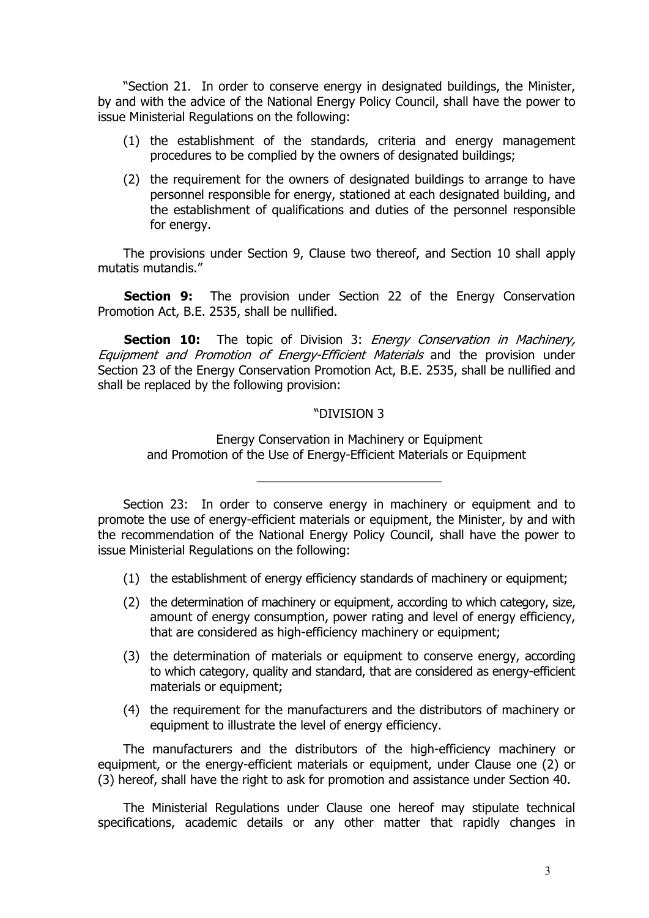"Section 21. In order to conserve energy in designated buildings, the Minister, by and with the advice of the National Energy Policy Council, shall have the power to issue Ministerial Regulations on the following:

- (1) the establishment of the standards, criteria and energy management procedures to be complied by the owners of designated buildings;
- (2) the requirement for the owners of designated buildings to arrange to have personnel responsible for energy, stationed at each designated building, and the establishment of qualifications and duties of the personnel responsible for energy.

The provisions under Section 9, Clause two thereof, and Section 10 shall apply mutatis mutandis."

**Section 9:** The provision under Section 22 of the Energy Conservation Promotion Act, B.E. 2535, shall be nullified.

**Section 10:** The topic of Division 3: *Energy Conservation in Machinery*, Equipment and Promotion of Energy-Efficient Materials and the provision under Section 23 of the Energy Conservation Promotion Act, B.E. 2535, shall be nullified and shall be replaced by the following provision:

## "DIVISION 3

\_\_\_\_\_\_\_\_\_\_\_\_\_\_\_\_\_\_\_\_\_\_\_\_\_\_\_

Energy Conservation in Machinery or Equipment and Promotion of the Use of Energy-Efficient Materials or Equipment

- (1) the establishment of energy efficiency standards of machinery or equipment;
- (2) the determination of machinery or equipment, according to which category, size, amount of energy consumption, power rating and level of energy efficiency, that are considered as high-efficiency machinery or equipment;
- (3) the determination of materials or equipment to conserve energy, according to which category, quality and standard, that are considered as energy-efficient materials or equipment;
- (4) the requirement for the manufacturers and the distributors of machinery or equipment to illustrate the level of energy efficiency.

The manufacturers and the distributors of the high-efficiency machinery or equipment, or the energy-efficient materials or equipment, under Clause one (2) or (3) hereof, shall have the right to ask for promotion and assistance under Section 40.

The Ministerial Regulations under Clause one hereof may stipulate technical specifications, academic details or any other matter that rapidly changes in

Section 23: In order to conserve energy in machinery or equipment and to promote the use of energy-efficient materials or equipment, the Minister, by and with the recommendation of the National Energy Policy Council, shall have the power to issue Ministerial Regulations on the following: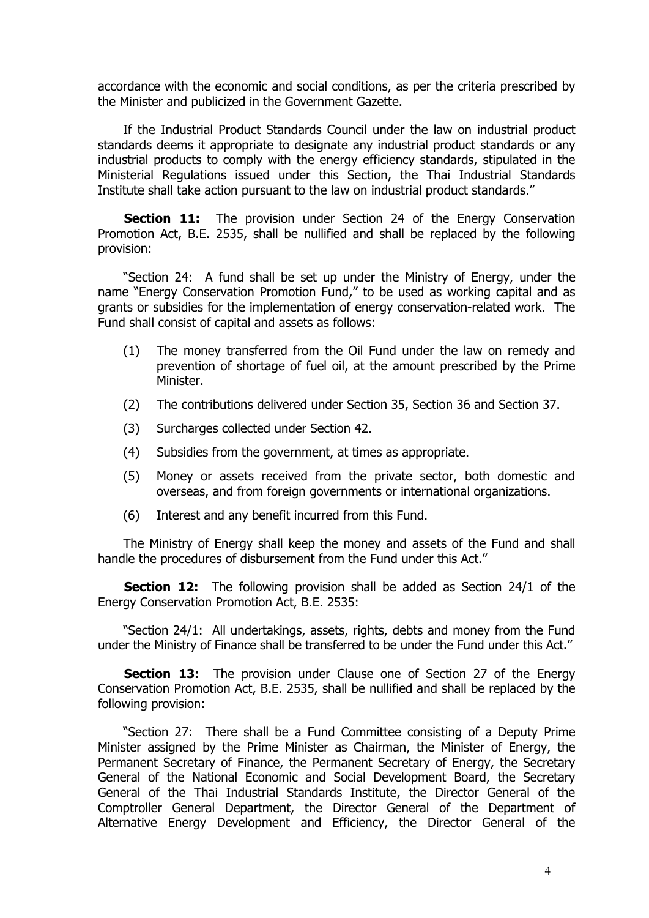accordance with the economic and social conditions, as per the criteria prescribed by the Minister and publicized in the Government Gazette.

If the Industrial Product Standards Council under the law on industrial product standards deems it appropriate to designate any industrial product standards or any industrial products to comply with the energy efficiency standards, stipulated in the Ministerial Regulations issued under this Section, the Thai Industrial Standards Institute shall take action pursuant to the law on industrial product standards."

**Section 11:** The provision under Section 24 of the Energy Conservation Promotion Act, B.E. 2535, shall be nullified and shall be replaced by the following provision:

"Section 24: A fund shall be set up under the Ministry of Energy, under the name "Energy Conservation Promotion Fund," to be used as working capital and as grants or subsidies for the implementation of energy conservation-related work. The Fund shall consist of capital and assets as follows:

- (1) The money transferred from the Oil Fund under the law on remedy and prevention of shortage of fuel oil, at the amount prescribed by the Prime Minister.
- (2) The contributions delivered under Section 35, Section 36 and Section 37.
- (3) Surcharges collected under Section 42.
- (4) Subsidies from the government, at times as appropriate.
- (5) Money or assets received from the private sector, both domestic and overseas, and from foreign governments or international organizations.
- (6) Interest and any benefit incurred from this Fund.

The Ministry of Energy shall keep the money and assets of the Fund and shall handle the procedures of disbursement from the Fund under this Act."

**Section 12:** The following provision shall be added as Section 24/1 of the Energy Conservation Promotion Act, B.E. 2535:

"Section 24/1: All undertakings, assets, rights, debts and money from the Fund under the Ministry of Finance shall be transferred to be under the Fund under this Act."

**Section 13:** The provision under Clause one of Section 27 of the Energy Conservation Promotion Act, B.E. 2535, shall be nullified and shall be replaced by the following provision:

"Section 27: There shall be a Fund Committee consisting of a Deputy Prime Minister assigned by the Prime Minister as Chairman, the Minister of Energy, the Permanent Secretary of Finance, the Permanent Secretary of Energy, the Secretary General of the National Economic and Social Development Board, the Secretary General of the Thai Industrial Standards Institute, the Director General of the Comptroller General Department, the Director General of the Department of Alternative Energy Development and Efficiency, the Director General of the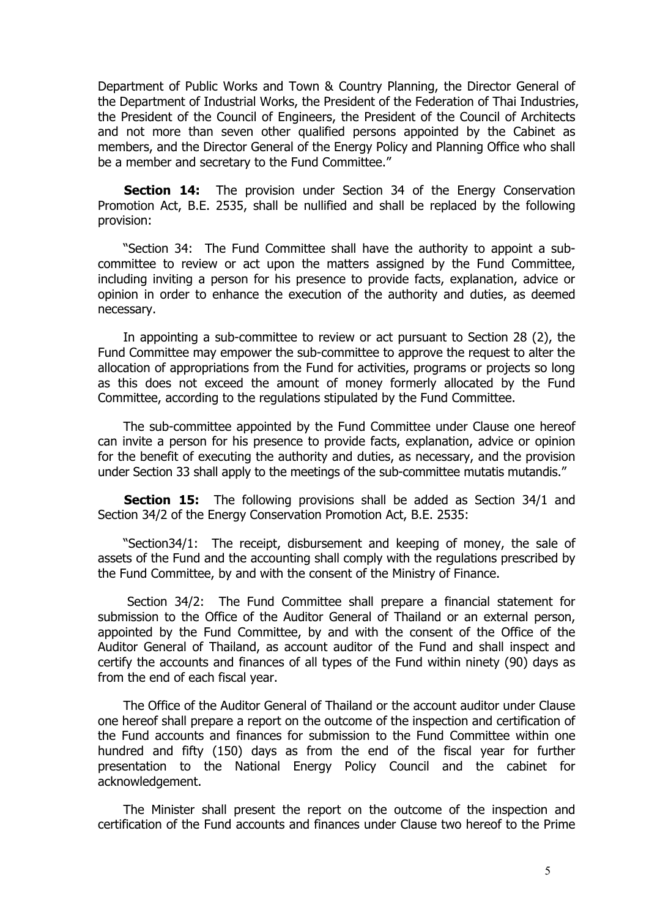Department of Public Works and Town & Country Planning, the Director General of the Department of Industrial Works, the President of the Federation of Thai Industries, the President of the Council of Engineers, the President of the Council of Architects and not more than seven other qualified persons appointed by the Cabinet as members, and the Director General of the Energy Policy and Planning Office who shall be a member and secretary to the Fund Committee."

**Section 14:** The provision under Section 34 of the Energy Conservation Promotion Act, B.E. 2535, shall be nullified and shall be replaced by the following provision:

"Section 34: The Fund Committee shall have the authority to appoint a subcommittee to review or act upon the matters assigned by the Fund Committee, including inviting a person for his presence to provide facts, explanation, advice or opinion in order to enhance the execution of the authority and duties, as deemed necessary.

In appointing a sub-committee to review or act pursuant to Section 28 (2), the Fund Committee may empower the sub-committee to approve the request to alter the allocation of appropriations from the Fund for activities, programs or projects so long as this does not exceed the amount of money formerly allocated by the Fund Committee, according to the regulations stipulated by the Fund Committee.

The sub-committee appointed by the Fund Committee under Clause one hereof can invite a person for his presence to provide facts, explanation, advice or opinion for the benefit of executing the authority and duties, as necessary, and the provision under Section 33 shall apply to the meetings of the sub-committee mutatis mutandis."

**Section 15:** The following provisions shall be added as Section 34/1 and Section 34/2 of the Energy Conservation Promotion Act, B.E. 2535:

"Section34/1: The receipt, disbursement and keeping of money, the sale of assets of the Fund and the accounting shall comply with the regulations prescribed by the Fund Committee, by and with the consent of the Ministry of Finance.

 Section 34/2: The Fund Committee shall prepare a financial statement for submission to the Office of the Auditor General of Thailand or an external person, appointed by the Fund Committee, by and with the consent of the Office of the Auditor General of Thailand, as account auditor of the Fund and shall inspect and certify the accounts and finances of all types of the Fund within ninety (90) days as from the end of each fiscal year.

The Office of the Auditor General of Thailand or the account auditor under Clause one hereof shall prepare a report on the outcome of the inspection and certification of the Fund accounts and finances for submission to the Fund Committee within one hundred and fifty (150) days as from the end of the fiscal year for further presentation to the National Energy Policy Council and the cabinet for acknowledgement.

The Minister shall present the report on the outcome of the inspection and certification of the Fund accounts and finances under Clause two hereof to the Prime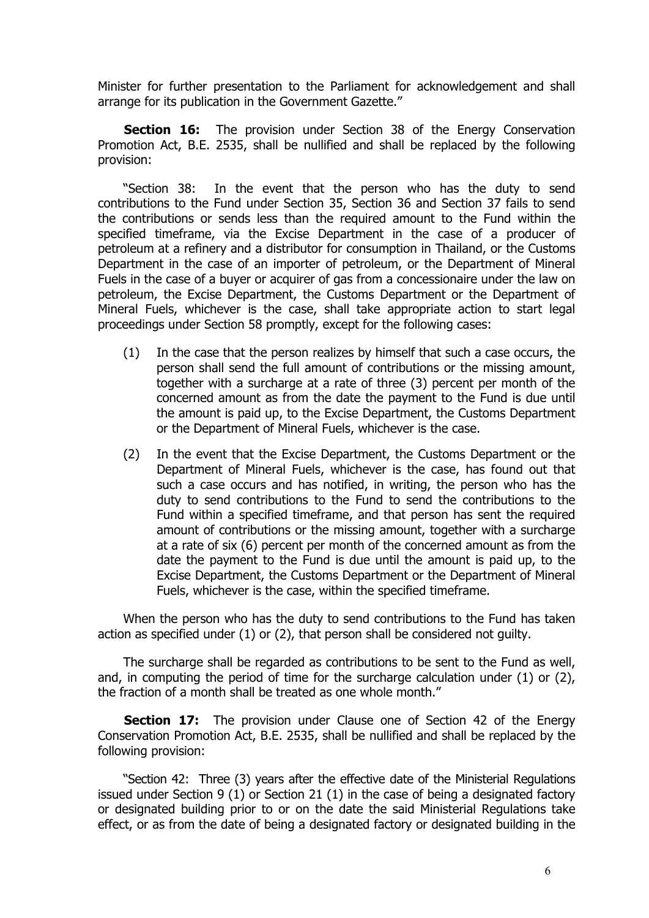Minister for further presentation to the Parliament for acknowledgement and shall arrange for its publication in the Government Gazette."

**Section 16:** The provision under Section 38 of the Energy Conservation Promotion Act, B.E. 2535, shall be nullified and shall be replaced by the following provision:

"Section 38: In the event that the person who has the duty to send contributions to the Fund under Section 35, Section 36 and Section 37 fails to send the contributions or sends less than the required amount to the Fund within the specified timeframe, via the Excise Department in the case of a producer of petroleum at a refinery and a distributor for consumption in Thailand, or the Customs Department in the case of an importer of petroleum, or the Department of Mineral Fuels in the case of a buyer or acquirer of gas from a concessionaire under the law on petroleum, the Excise Department, the Customs Department or the Department of Mineral Fuels, whichever is the case, shall take appropriate action to start legal proceedings under Section 58 promptly, except for the following cases:

- (1) In the case that the person realizes by himself that such a case occurs, the person shall send the full amount of contributions or the missing amount, together with a surcharge at a rate of three (3) percent per month of the concerned amount as from the date the payment to the Fund is due until the amount is paid up, to the Excise Department, the Customs Department or the Department of Mineral Fuels, whichever is the case.
- (2) In the event that the Excise Department, the Customs Department or the Department of Mineral Fuels, whichever is the case, has found out that such a case occurs and has notified, in writing, the person who has the duty to send contributions to the Fund to send the contributions to the Fund within a specified timeframe, and that person has sent the required amount of contributions or the missing amount, together with a surcharge at a rate of six (6) percent per month of the concerned amount as from the date the payment to the Fund is due until the amount is paid up, to the Excise Department, the Customs Department or the Department of Mineral Fuels, whichever is the case, within the specified timeframe.

When the person who has the duty to send contributions to the Fund has taken action as specified under (1) or (2), that person shall be considered not guilty.

The surcharge shall be regarded as contributions to be sent to the Fund as well, and, in computing the period of time for the surcharge calculation under (1) or (2), the fraction of a month shall be treated as one whole month."

**Section 17:** The provision under Clause one of Section 42 of the Energy Conservation Promotion Act, B.E. 2535, shall be nullified and shall be replaced by the following provision:

"Section 42: Three (3) years after the effective date of the Ministerial Regulations issued under Section 9 (1) or Section 21 (1) in the case of being a designated factory or designated building prior to or on the date the said Ministerial Regulations take effect, or as from the date of being a designated factory or designated building in the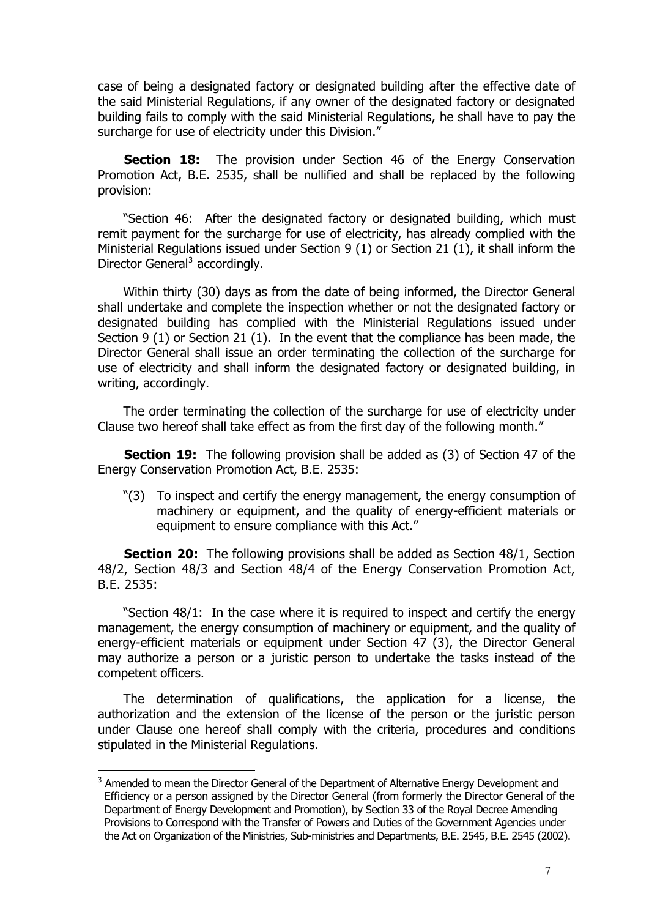case of being a designated factory or designated building after the effective date of the said Ministerial Regulations, if any owner of the designated factory or designated building fails to comply with the said Ministerial Regulations, he shall have to pay the surcharge for use of electricity under this Division."

**Section 18:** The provision under Section 46 of the Energy Conservation Promotion Act, B.E. 2535, shall be nullified and shall be replaced by the following provision:

"Section 46: After the designated factory or designated building, which must remit payment for the surcharge for use of electricity, has already complied with the Ministerial Regulations issued under Section 9 (1) or Section 21 (1), it shall inform the Director General<sup>[3](#page-6-0)</sup> accordingly.

Within thirty (30) days as from the date of being informed, the Director General shall undertake and complete the inspection whether or not the designated factory or designated building has complied with the Ministerial Regulations issued under Section 9 (1) or Section 21 (1). In the event that the compliance has been made, the Director General shall issue an order terminating the collection of the surcharge for use of electricity and shall inform the designated factory or designated building, in writing, accordingly.

The order terminating the collection of the surcharge for use of electricity under Clause two hereof shall take effect as from the first day of the following month."

**Section 19:** The following provision shall be added as (3) of Section 47 of the Energy Conservation Promotion Act, B.E. 2535:

"(3) To inspect and certify the energy management, the energy consumption of machinery or equipment, and the quality of energy-efficient materials or equipment to ensure compliance with this Act."

**Section 20:** The following provisions shall be added as Section 48/1, Section 48/2, Section 48/3 and Section 48/4 of the Energy Conservation Promotion Act, B.E. 2535:

"Section 48/1: In the case where it is required to inspect and certify the energy management, the energy consumption of machinery or equipment, and the quality of energy-efficient materials or equipment under Section 47 (3), the Director General may authorize a person or a juristic person to undertake the tasks instead of the competent officers.

The determination of qualifications, the application for a license, the authorization and the extension of the license of the person or the juristic person under Clause one hereof shall comply with the criteria, procedures and conditions stipulated in the Ministerial Regulations.

 $\overline{a}$ 

<span id="page-6-0"></span> $3$  Amended to mean the Director General of the Department of Alternative Energy Development and Efficiency or a person assigned by the Director General (from formerly the Director General of the Department of Energy Development and Promotion), by Section 33 of the Royal Decree Amending Provisions to Correspond with the Transfer of Powers and Duties of the Government Agencies under the Act on Organization of the Ministries, Sub-ministries and Departments, B.E. 2545, B.E. 2545 (2002).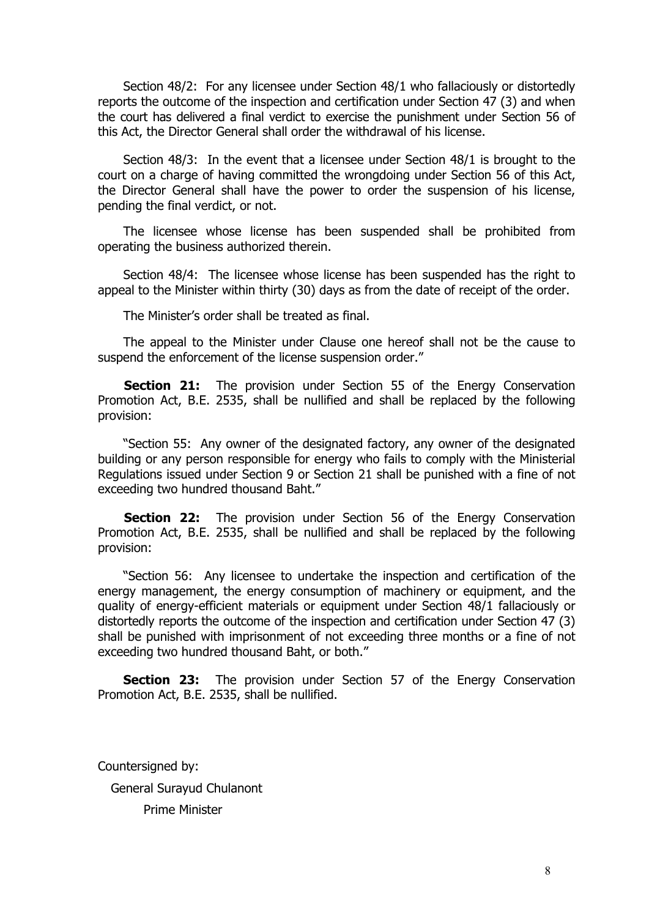Section 48/2: For any licensee under Section 48/1 who fallaciously or distortedly reports the outcome of the inspection and certification under Section 47 (3) and when the court has delivered a final verdict to exercise the punishment under Section 56 of this Act, the Director General shall order the withdrawal of his license.

Section 48/3: In the event that a licensee under Section 48/1 is brought to the court on a charge of having committed the wrongdoing under Section 56 of this Act, the Director General shall have the power to order the suspension of his license, pending the final verdict, or not.

The licensee whose license has been suspended shall be prohibited from operating the business authorized therein.

Section 48/4: The licensee whose license has been suspended has the right to appeal to the Minister within thirty (30) days as from the date of receipt of the order.

The Minister's order shall be treated as final.

The appeal to the Minister under Clause one hereof shall not be the cause to suspend the enforcement of the license suspension order."

**Section 21:** The provision under Section 55 of the Energy Conservation Promotion Act, B.E. 2535, shall be nullified and shall be replaced by the following provision:

"Section 55: Any owner of the designated factory, any owner of the designated building or any person responsible for energy who fails to comply with the Ministerial Regulations issued under Section 9 or Section 21 shall be punished with a fine of not exceeding two hundred thousand Baht."

**Section 22:** The provision under Section 56 of the Energy Conservation Promotion Act, B.E. 2535, shall be nullified and shall be replaced by the following provision:

"Section 56: Any licensee to undertake the inspection and certification of the energy management, the energy consumption of machinery or equipment, and the quality of energy-efficient materials or equipment under Section 48/1 fallaciously or distortedly reports the outcome of the inspection and certification under Section 47 (3) shall be punished with imprisonment of not exceeding three months or a fine of not exceeding two hundred thousand Baht, or both."

**Section 23:** The provision under Section 57 of the Energy Conservation Promotion Act, B.E. 2535, shall be nullified.

Countersigned by: General Surayud Chulanont Prime Minister